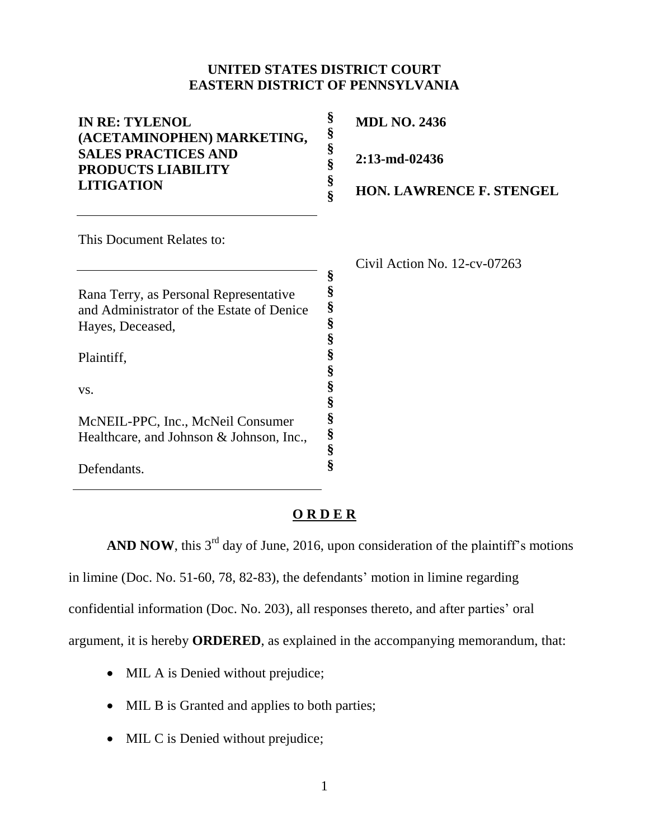## **UNITED STATES DISTRICT COURT EASTERN DISTRICT OF PENNSYLVANIA**

| <b>IN RE: TYLENOL</b><br>(ACETAMINOPHEN) MARKETING,<br><b>SALES PRACTICES AND</b><br><b>PRODUCTS LIABILITY</b> | §<br><b>MDL NO. 2436</b><br>§        |  |
|----------------------------------------------------------------------------------------------------------------|--------------------------------------|--|
|                                                                                                                | §<br>2:13-md-02436<br>§              |  |
| <b>LITIGATION</b>                                                                                              | §<br><b>HON. LAWRENCE F. STENGEL</b> |  |
| This Document Relates to:                                                                                      |                                      |  |
|                                                                                                                | Civil Action No. 12-cv-07263         |  |
|                                                                                                                | §                                    |  |
| Rana Terry, as Personal Representative                                                                         | §                                    |  |
| and Administrator of the Estate of Denice                                                                      | §                                    |  |
| Hayes, Deceased,                                                                                               | §                                    |  |
|                                                                                                                | §                                    |  |
| Plaintiff,                                                                                                     | §                                    |  |
|                                                                                                                | §                                    |  |
| VS.                                                                                                            | §                                    |  |
|                                                                                                                | §                                    |  |
| McNEIL-PPC, Inc., McNeil Consumer                                                                              | §                                    |  |
| Healthcare, and Johnson & Johnson, Inc.,                                                                       | §                                    |  |
|                                                                                                                | §                                    |  |
| Defendants                                                                                                     | Ş                                    |  |

## **O R D E R**

**AND NOW**, this  $3<sup>rd</sup>$  day of June, 2016, upon consideration of the plaintiff's motions in limine (Doc. No. 51-60, 78, 82-83), the defendants' motion in limine regarding confidential information (Doc. No. 203), all responses thereto, and after parties' oral argument, it is hereby **ORDERED**, as explained in the accompanying memorandum, that:

• MIL A is Denied without prejudice;

Defendants.

- MIL B is Granted and applies to both parties;
- MIL C is Denied without prejudice;